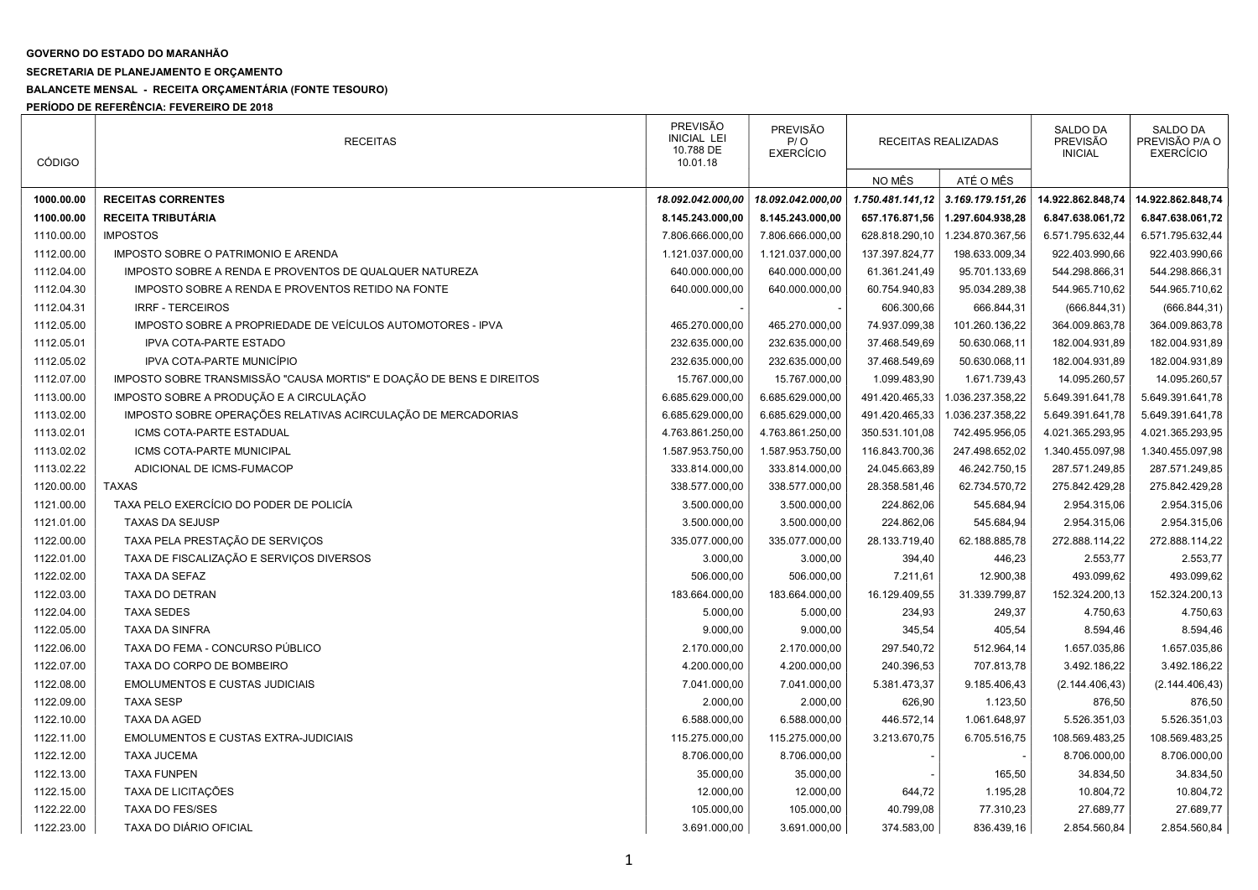## GOVERNO DO ESTADO DO MARANHÃO

## SECRETARIA DE PLANEJAMENTO E ORÇAMENTO

## BALANCETE MENSAL - RECEITA ORÇAMENTÁRIA (FONTE TESOURO)

PERÍODO DE REFERÊNCIA: FEVEREIRO DE 2018

| <b>CÓDIGO</b> | <b>RECEITAS</b>                                                      | <b>PREVISÃO</b><br><b>INICIAL LEI</b><br>10.788 DE<br>10.01.18 | <b>PREVISÃO</b><br>P / O<br><b>EXERCÍCIO</b> | RECEITAS REALIZADAS |                  | SALDO DA<br>PREVISÃO<br><b>INICIAL</b> | <b>SALDO DA</b><br>PREVISÃO P/A O<br><b>EXERCÍCIO</b> |
|---------------|----------------------------------------------------------------------|----------------------------------------------------------------|----------------------------------------------|---------------------|------------------|----------------------------------------|-------------------------------------------------------|
|               |                                                                      |                                                                |                                              | NO MÊS              | ATÉ O MÊS        |                                        |                                                       |
| 1000.00.00    | <b>RECEITAS CORRENTES</b>                                            | 18.092.042.000,00                                              | 18.092.042.000,00                            | 1.750.481.141,12    | 3.169.179.151,26 | 14.922.862.848,74                      | 14.922.862.848,74                                     |
| 1100.00.00    | RECEITA TRIBUTÁRIA                                                   | 8.145.243.000,00                                               | 8.145.243.000,00                             | 657.176.871,56      | 1.297.604.938,28 | 6.847.638.061,72                       | 6.847.638.061,72                                      |
| 1110.00.00    | <b>IMPOSTOS</b>                                                      | 7.806.666.000,00                                               | 7.806.666.000,00                             | 628.818.290,10      | 1.234.870.367,56 | 6.571.795.632,44                       | 6.571.795.632,44                                      |
| 1112.00.00    | IMPOSTO SOBRE O PATRIMONIO E ARENDA                                  | 1.121.037.000,00                                               | 1.121.037.000,00                             | 137.397.824,77      | 198.633.009,34   | 922.403.990,66                         | 922.403.990,66                                        |
| 1112.04.00    | IMPOSTO SOBRE A RENDA E PROVENTOS DE QUALQUER NATUREZA               | 640.000.000,00                                                 | 640.000.000,00                               | 61.361.241,49       | 95.701.133,69    | 544.298.866,31                         | 544.298.866,31                                        |
| 1112.04.30    | IMPOSTO SOBRE A RENDA E PROVENTOS RETIDO NA FONTE                    | 640.000.000,00                                                 | 640.000.000,00                               | 60.754.940,83       | 95.034.289,38    | 544.965.710,62                         | 544.965.710,62                                        |
| 1112.04.31    | <b>IRRF - TERCEIROS</b>                                              |                                                                |                                              | 606.300,66          | 666.844,31       | (666.844, 31)                          | (666.844, 31)                                         |
| 1112.05.00    | IMPOSTO SOBRE A PROPRIEDADE DE VEÍCULOS AUTOMOTORES - IPVA           | 465.270.000,00                                                 | 465.270.000,00                               | 74.937.099,38       | 101.260.136,22   | 364.009.863,78                         | 364.009.863,78                                        |
| 1112.05.01    | <b>IPVA COTA-PARTE ESTADO</b>                                        | 232.635.000,00                                                 | 232.635.000,00                               | 37.468.549,69       | 50.630.068,11    | 182.004.931,89                         | 182.004.931,89                                        |
| 1112.05.02    | IPVA COTA-PARTE MUNICÍPIO                                            | 232.635.000,00                                                 | 232.635.000,00                               | 37.468.549,69       | 50.630.068,11    | 182.004.931,89                         | 182.004.931,89                                        |
| 1112.07.00    | IMPOSTO SOBRE TRANSMISSÃO "CAUSA MORTIS" E DOAÇÃO DE BENS E DIREITOS | 15.767.000,00                                                  | 15.767.000,00                                | 1.099.483,90        | 1.671.739,43     | 14.095.260,57                          | 14.095.260,57                                         |
| 1113.00.00    | IMPOSTO SOBRE A PRODUÇÃO E A CIRCULAÇÃO                              | 6.685.629.000,00                                               | 6.685.629.000,00                             | 491.420.465,33      | .036.237.358,22  | 5.649.391.641,78                       | 5.649.391.641,78                                      |
| 1113.02.00    | IMPOSTO SOBRE OPERAÇÕES RELATIVAS ACIRCULAÇÃO DE MERCADORIAS         | 6.685.629.000,00                                               | 6.685.629.000,00                             | 491.420.465,33      | 1.036.237.358,22 | 5.649.391.641,78                       | 5.649.391.641,78                                      |
| 1113.02.01    | ICMS COTA-PARTE ESTADUAL                                             | 4.763.861.250,00                                               | 4.763.861.250,00                             | 350.531.101,08      | 742.495.956,05   | 4.021.365.293,95                       | 4.021.365.293,95                                      |
| 1113.02.02    | ICMS COTA-PARTE MUNICIPAL                                            | 1.587.953.750,00                                               | 1.587.953.750,00                             | 116.843.700,36      | 247.498.652,02   | 1.340.455.097,98                       | 1.340.455.097,98                                      |
| 1113.02.22    | ADICIONAL DE ICMS-FUMACOP                                            | 333.814.000,00                                                 | 333.814.000,00                               | 24.045.663,89       | 46.242.750,15    | 287.571.249,85                         | 287.571.249,85                                        |
| 1120.00.00    | <b>TAXAS</b>                                                         | 338.577.000,00                                                 | 338.577.000,00                               | 28.358.581,46       | 62.734.570,72    | 275.842.429,28                         | 275.842.429,28                                        |
| 1121.00.00    | TAXA PELO EXERCÍCIO DO PODER DE POLICÍA                              | 3.500.000,00                                                   | 3.500.000,00                                 | 224.862,06          | 545.684,94       | 2.954.315,06                           | 2.954.315,06                                          |
| 1121.01.00    | <b>TAXAS DA SEJUSP</b>                                               | 3.500.000,00                                                   | 3.500.000,00                                 | 224.862,06          | 545.684,94       | 2.954.315,06                           | 2.954.315,06                                          |
| 1122.00.00    | TAXA PELA PRESTAÇÃO DE SERVIÇOS                                      | 335.077.000,00                                                 | 335.077.000,00                               | 28.133.719,40       | 62.188.885,78    | 272.888.114,22                         | 272.888.114,22                                        |
| 1122.01.00    | TAXA DE FISCALIZAÇÃO E SERVIÇOS DIVERSOS                             | 3.000,00                                                       | 3.000,00                                     | 394,40              | 446,23           | 2.553,77                               | 2.553,77                                              |
| 1122.02.00    | TAXA DA SEFAZ                                                        | 506.000,00                                                     | 506.000,00                                   | 7.211,61            | 12.900,38        | 493.099,62                             | 493.099,62                                            |
| 1122.03.00    | TAXA DO DETRAN                                                       | 183.664.000,00                                                 | 183.664.000,00                               | 16.129.409,55       | 31.339.799,87    | 152.324.200,13                         | 152.324.200,13                                        |
| 1122.04.00    | <b>TAXA SEDES</b>                                                    | 5.000,00                                                       | 5.000,00                                     | 234,93              | 249,37           | 4.750,63                               | 4.750,63                                              |
| 1122.05.00    | <b>TAXA DA SINFRA</b>                                                | 9.000,00                                                       | 9.000,00                                     | 345,54              | 405,54           | 8.594,46                               | 8.594,46                                              |
| 1122.06.00    | TAXA DO FEMA - CONCURSO PÚBLICO                                      | 2.170.000,00                                                   | 2.170.000,00                                 | 297.540,72          | 512.964,14       | 1.657.035,86                           | 1.657.035,86                                          |
| 1122.07.00    | TAXA DO CORPO DE BOMBEIRO                                            | 4.200.000,00                                                   | 4.200.000,00                                 | 240.396,53          | 707.813,78       | 3.492.186,22                           | 3.492.186,22                                          |
| 1122.08.00    | <b>EMOLUMENTOS E CUSTAS JUDICIAIS</b>                                | 7.041.000,00                                                   | 7.041.000,00                                 | 5.381.473,37        | 9.185.406,43     | (2.144.406, 43)                        | (2.144.406, 43)                                       |
| 1122.09.00    | <b>TAXA SESP</b>                                                     | 2.000,00                                                       | 2.000,00                                     | 626,90              | 1.123,50         | 876,50                                 | 876,50                                                |
| 1122.10.00    | <b>TAXA DA AGED</b>                                                  | 6.588.000,00                                                   | 6.588.000,00                                 | 446.572,14          | 1.061.648,97     | 5.526.351,03                           | 5.526.351,03                                          |
| 1122.11.00    | <b>EMOLUMENTOS E CUSTAS EXTRA-JUDICIAIS</b>                          | 115.275.000,00                                                 | 115.275.000,00                               | 3.213.670,75        | 6.705.516,75     | 108.569.483,25                         | 108.569.483,25                                        |
| 1122.12.00    | <b>TAXA JUCEMA</b>                                                   | 8.706.000,00                                                   | 8.706.000,00                                 |                     |                  | 8.706.000,00                           | 8.706.000,00                                          |
| 1122.13.00    | <b>TAXA FUNPEN</b>                                                   | 35.000,00                                                      | 35.000,00                                    |                     | 165,50           | 34.834,50                              | 34.834,50                                             |
| 1122.15.00    | TAXA DE LICITAÇÕES                                                   | 12.000,00                                                      | 12.000,00                                    | 644,72              | 1.195,28         | 10.804,72                              | 10.804,72                                             |
| 1122.22.00    | <b>TAXA DO FES/SES</b>                                               | 105.000,00                                                     | 105.000,00                                   | 40.799,08           | 77.310,23        | 27.689,77                              | 27.689,77                                             |
| 1122.23.00    | TAXA DO DIÁRIO OFICIAL                                               | 3.691.000,00                                                   | 3.691.000,00                                 | 374.583,00          | 836.439,16       | 2.854.560,84                           | 2.854.560,84                                          |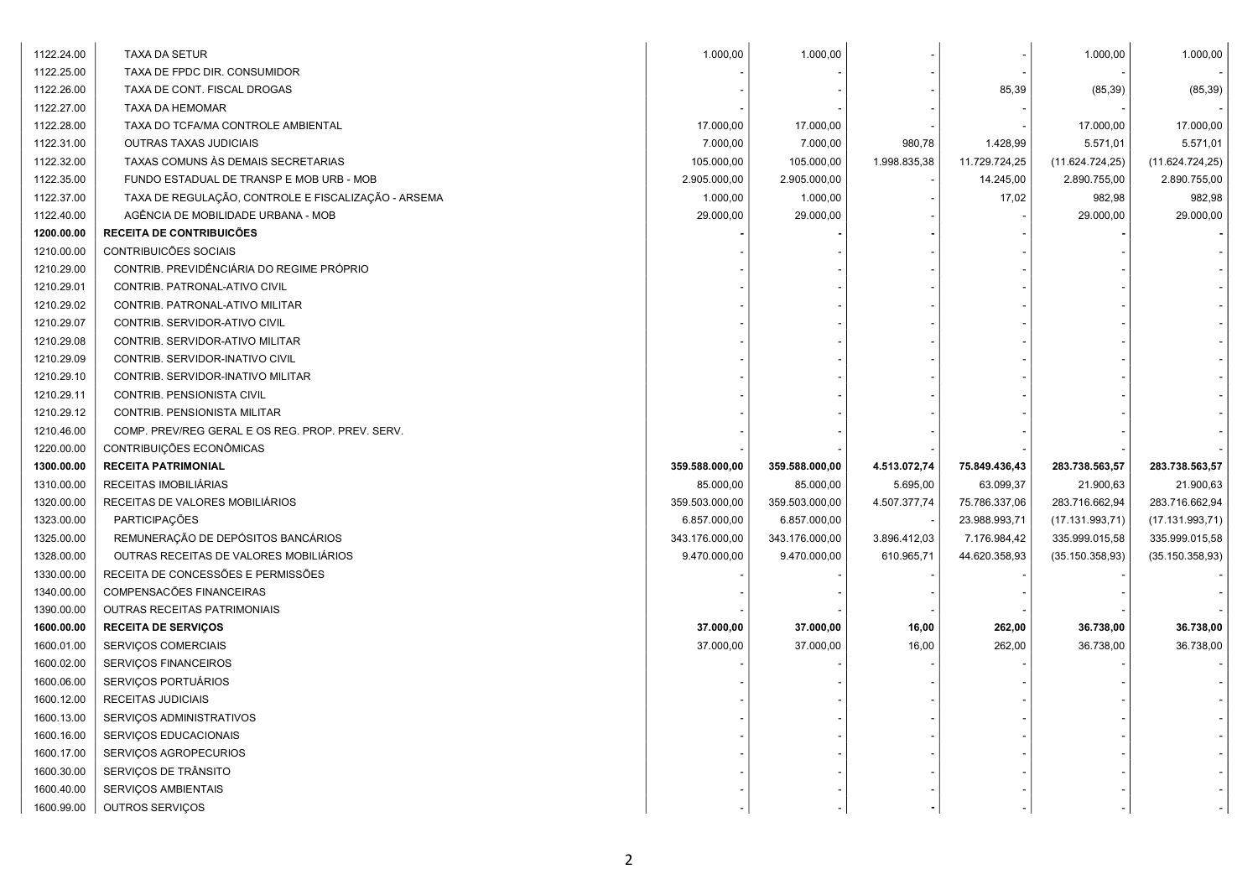| 1122.24.00 | <b>TAXA DA SETUR</b>                                | 1.000,00       | 1.000,00       |              |               | 1.000,00        | 1.000,00        |
|------------|-----------------------------------------------------|----------------|----------------|--------------|---------------|-----------------|-----------------|
| 1122.25.00 | TAXA DE FPDC DIR. CONSUMIDOR                        |                |                |              |               |                 |                 |
| 1122.26.00 | TAXA DE CONT. FISCAL DROGAS                         |                |                |              | 85,39         | (85, 39)        | (85, 39)        |
| 1122.27.00 | TAXA DA HEMOMAR                                     |                |                |              |               |                 |                 |
| 1122.28.00 | TAXA DO TCFA/MA CONTROLE AMBIENTAL                  | 17.000,00      | 17.000,00      |              |               | 17.000,00       | 17.000,00       |
| 1122.31.00 | <b>OUTRAS TAXAS JUDICIAIS</b>                       | 7.000,00       | 7.000,00       | 980,78       | 1.428,99      | 5.571,01        | 5.571,01        |
| 1122.32.00 | TAXAS COMUNS ÀS DEMAIS SECRETARIAS                  | 105.000,00     | 105.000,00     | 1.998.835,38 | 11.729.724,25 | (11.624.724.25) | (11.624.724.25) |
| 1122.35.00 | FUNDO ESTADUAL DE TRANSP E MOB URB - MOB            | 2.905.000,00   | 2.905.000,00   |              | 14.245,00     | 2.890.755,00    | 2.890.755,00    |
| 1122.37.00 | TAXA DE REGULAÇÃO, CONTROLE E FISCALIZAÇÃO - ARSEMA | 1.000,00       | 1.000,00       |              | 17,02         | 982,98          | 982,98          |
| 1122.40.00 | AGÊNCIA DE MOBILIDADE URBANA - MOB                  | 29.000,00      | 29.000,00      |              |               | 29.000,00       | 29.000,00       |
| 1200.00.00 | RECEITA DE CONTRIBUICÕES                            |                |                |              |               |                 |                 |
| 1210.00.00 | CONTRIBUICÕES SOCIAIS                               |                |                |              |               |                 |                 |
| 1210.29.00 | CONTRIB. PREVIDÊNCIÁRIA DO REGIME PRÓPRIO           |                |                |              |               |                 |                 |
| 1210.29.01 | CONTRIB. PATRONAL-ATIVO CIVIL                       |                |                |              |               |                 |                 |
| 1210.29.02 | CONTRIB. PATRONAL-ATIVO MILITAR                     |                |                |              |               |                 |                 |
| 1210.29.07 | CONTRIB. SERVIDOR-ATIVO CIVIL                       |                |                |              |               |                 |                 |
| 1210.29.08 | CONTRIB. SERVIDOR-ATIVO MILITAR                     |                |                |              |               |                 |                 |
| 1210.29.09 | CONTRIB. SERVIDOR-INATIVO CIVIL                     |                |                |              |               |                 |                 |
| 1210.29.10 | CONTRIB. SERVIDOR-INATIVO MILITAR                   |                |                |              |               |                 |                 |
| 1210.29.11 | CONTRIB. PENSIONISTA CIVIL                          |                |                |              |               |                 |                 |
| 1210.29.12 | CONTRIB. PENSIONISTA MILITAR                        |                |                |              |               |                 |                 |
| 1210.46.00 | COMP. PREV/REG GERAL E OS REG. PROP. PREV. SERV.    |                |                |              |               |                 |                 |
| 1220.00.00 | CONTRIBUIÇÕES ECONÔMICAS                            |                |                |              |               |                 |                 |
| 1300.00.00 | <b>RECEITA PATRIMONIAL</b>                          | 359.588.000,00 | 359.588.000,00 | 4.513.072,74 | 75.849.436,43 | 283.738.563,57  | 283.738.563,57  |
| 1310.00.00 | RECEITAS IMOBILIÁRIAS                               | 85.000,00      | 85.000,00      | 5.695,00     | 63.099,37     | 21.900,63       | 21.900,63       |
| 1320.00.00 | RECEITAS DE VALORES MOBILIÁRIOS                     | 359.503.000,00 | 359.503.000,00 | 4.507.377,74 | 75.786.337,06 | 283.716.662,94  | 283.716.662,94  |
| 1323.00.00 | PARTICIPAÇÕES                                       | 6.857.000,00   | 6.857.000,00   |              | 23.988.993,71 | (17.131.993,71) | (17.131.993,71) |
| 1325.00.00 | REMUNERAÇÃO DE DEPÓSITOS BANCÁRIOS                  | 343.176.000,00 | 343.176.000,00 | 3.896.412,03 | 7.176.984,42  | 335.999.015,58  | 335.999.015,58  |
| 1328.00.00 | OUTRAS RECEITAS DE VALORES MOBILIÁRIOS              | 9.470.000,00   | 9.470.000,00   | 610.965,71   | 44.620.358,93 | (35.150.358,93) | (35.150.358,93) |
| 1330.00.00 | RECEITA DE CONCESSÕES E PERMISSÕES                  |                |                |              |               |                 |                 |
| 1340.00.00 | COMPENSACÕES FINANCEIRAS                            |                |                |              |               |                 |                 |
| 1390.00.00 | OUTRAS RECEITAS PATRIMONIAIS                        |                |                |              |               |                 |                 |
| 1600.00.00 | <b>RECEITA DE SERVIÇOS</b>                          | 37.000,00      | 37.000,00      | 16,00        | 262,00        | 36.738,00       | 36.738,00       |
| 1600.01.00 | SERVIÇOS COMERCIAIS                                 | 37.000,00      | 37.000,00      | 16,00        | 262,00        | 36.738,00       | 36.738,00       |
| 1600.02.00 | SERVIÇOS FINANCEIROS                                |                |                |              |               |                 |                 |
| 1600.06.00 | SERVIÇOS PORTUÁRIOS                                 |                |                |              |               |                 |                 |
| 1600.12.00 | RECEITAS JUDICIAIS                                  |                |                |              |               |                 |                 |
| 1600.13.00 | SERVIÇOS ADMINISTRATIVOS                            |                |                |              |               |                 |                 |
| 1600.16.00 | SERVIÇOS EDUCACIONAIS                               |                |                |              |               |                 |                 |
| 1600.17.00 | SERVIÇOS AGROPECURIOS                               |                |                |              |               |                 |                 |
| 1600.30.00 | SERVIÇOS DE TRÂNSITO                                |                |                |              |               |                 |                 |
| 1600.40.00 | SERVIÇOS AMBIENTAIS                                 |                |                |              |               |                 |                 |
| 1600.99.00 | OUTROS SERVIÇOS                                     |                |                |              |               |                 |                 |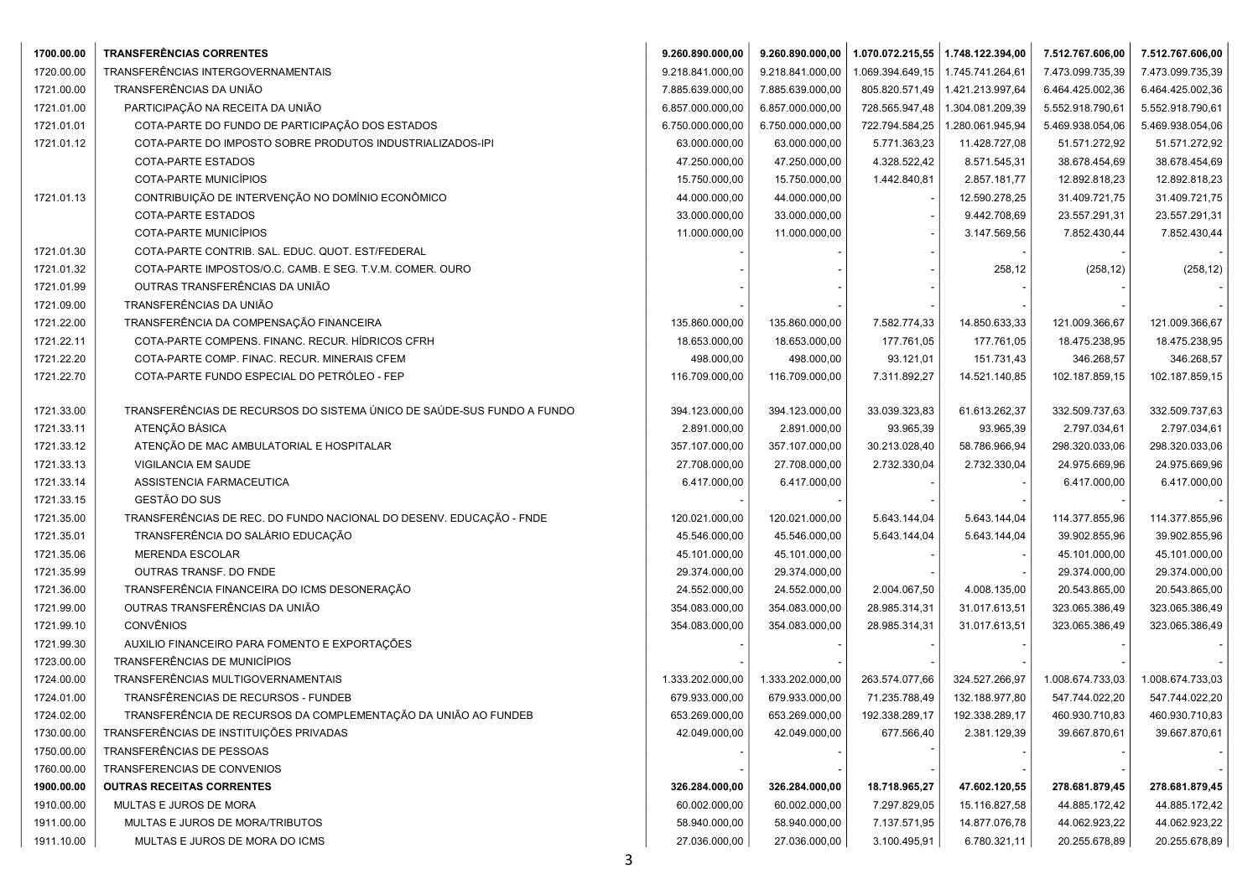| 1700.00.00 | <b>TRANSFERÊNCIAS CORRENTES</b>                                        | 9.260.890.000,00 | 9.260.890.000,00 | 1.070.072.215,55   1.748.122.394,00 |                  | 7.512.767.606,00 | 7.512.767.606,00 |
|------------|------------------------------------------------------------------------|------------------|------------------|-------------------------------------|------------------|------------------|------------------|
| 1720.00.00 | TRANSFERÊNCIAS INTERGOVERNAMENTAIS                                     | 9.218.841.000,00 | 9.218.841.000,00 | 1.069.394.649,15                    | 1.745.741.264,61 | 7.473.099.735,39 | 7.473.099.735,39 |
| 1721.00.00 | TRANSFERÊNCIAS DA UNIÃO                                                | 7.885.639.000,00 | 7.885.639.000,00 | 805.820.571,49                      | 1.421.213.997,64 | 6.464.425.002,36 | 6.464.425.002,36 |
| 1721.01.00 | PARTICIPAÇÃO NA RECEITA DA UNIÃO                                       | 6.857.000.000,00 | 6.857.000.000,00 | 728.565.947,48                      | 1.304.081.209,39 | 5.552.918.790,61 | 5.552.918.790,61 |
| 1721.01.01 | COTA-PARTE DO FUNDO DE PARTICIPAÇÃO DOS ESTADOS                        | 6.750.000.000,00 | 6.750.000.000,00 | 722.794.584,25                      | 1.280.061.945,94 | 5.469.938.054,06 | 5.469.938.054,06 |
| 1721.01.12 | COTA-PARTE DO IMPOSTO SOBRE PRODUTOS INDUSTRIALIZADOS-IPI              | 63.000.000,00    | 63.000.000,00    | 5.771.363,23                        | 11.428.727,08    | 51.571.272,92    | 51.571.272,92    |
|            | COTA-PARTE ESTADOS                                                     | 47.250.000,00    | 47.250.000,00    | 4.328.522,42                        | 8.571.545,31     | 38.678.454,69    | 38.678.454,69    |
|            | COTA-PARTE MUNICÍPIOS                                                  | 15.750.000,00    | 15.750.000,00    | 1.442.840,81                        | 2.857.181,77     | 12.892.818,23    | 12.892.818,23    |
| 1721.01.13 | CONTRIBUIÇÃO DE INTERVENÇÃO NO DOMÍNIO ECONÔMICO                       | 44.000.000,00    | 44.000.000,00    |                                     | 12.590.278,25    | 31.409.721,75    | 31.409.721,75    |
|            | <b>COTA-PARTE ESTADOS</b>                                              | 33.000.000,00    | 33.000.000,00    |                                     | 9.442.708,69     | 23.557.291,31    | 23.557.291,31    |
|            | COTA-PARTE MUNICÍPIOS                                                  | 11.000.000,00    | 11.000.000,00    |                                     | 3.147.569,56     | 7.852.430,44     | 7.852.430,44     |
| 1721.01.30 | COTA-PARTE CONTRIB. SAL. EDUC. QUOT. EST/FEDERAL                       |                  |                  |                                     |                  |                  |                  |
| 1721.01.32 | COTA-PARTE IMPOSTOS/O.C. CAMB. E SEG. T.V.M. COMER. OURO               |                  |                  |                                     | 258,12           | (258, 12)        | (258, 12)        |
| 1721.01.99 | OUTRAS TRANSFERÊNCIAS DA UNIÃO                                         |                  |                  |                                     |                  |                  |                  |
| 1721.09.00 | TRANSFERÊNCIAS DA UNIÃO                                                |                  |                  |                                     |                  |                  |                  |
| 1721.22.00 | TRANSFERÊNCIA DA COMPENSAÇÃO FINANCEIRA                                | 135.860.000,00   | 135.860.000,00   | 7.582.774,33                        | 14.850.633,33    | 121.009.366,67   | 121.009.366,67   |
| 1721.22.11 | COTA-PARTE COMPENS. FINANC. RECUR. HÍDRICOS CFRH                       | 18.653.000,00    | 18.653.000,00    | 177.761,05                          | 177.761,05       | 18.475.238,95    | 18.475.238,95    |
| 1721.22.20 | COTA-PARTE COMP. FINAC. RECUR. MINERAIS CFEM                           | 498.000,00       | 498.000,00       | 93.121,01                           | 151.731,43       | 346.268,57       | 346.268,57       |
| 1721.22.70 | COTA-PARTE FUNDO ESPECIAL DO PETRÓLEO - FEP                            | 116.709.000,00   | 116.709.000,00   | 7.311.892,27                        | 14.521.140,85    | 102.187.859,15   | 102.187.859,15   |
|            |                                                                        |                  |                  |                                     |                  |                  |                  |
| 1721.33.00 | TRANSFERÊNCIAS DE RECURSOS DO SISTEMA ÚNICO DE SAÚDE-SUS FUNDO A FUNDO | 394.123.000,00   | 394.123.000,00   | 33.039.323,83                       | 61.613.262,37    | 332.509.737,63   | 332.509.737,63   |
| 1721.33.11 | ATENÇÃO BÁSICA                                                         | 2.891.000,00     | 2.891.000,00     | 93.965,39                           | 93.965,39        | 2.797.034,61     | 2.797.034,61     |
| 1721.33.12 | ATENÇÃO DE MAC AMBULATORIAL E HOSPITALAR                               | 357.107.000,00   | 357.107.000,00   | 30.213.028,40                       | 58.786.966,94    | 298.320.033,06   | 298.320.033,06   |
| 1721.33.13 | VIGILANCIA EM SAUDE                                                    | 27.708.000,00    | 27.708.000,00    | 2.732.330,04                        | 2.732.330,04     | 24.975.669,96    | 24.975.669,96    |
| 1721.33.14 | ASSISTENCIA FARMACEUTICA                                               | 6.417.000,00     | 6.417.000,00     |                                     |                  | 6.417.000,00     | 6.417.000,00     |
| 1721.33.15 | GESTÃO DO SUS                                                          |                  |                  |                                     |                  |                  |                  |
| 1721.35.00 | TRANSFERÊNCIAS DE REC. DO FUNDO NACIONAL DO DESENV. EDUCAÇÃO - FNDE    | 120.021.000,00   | 120.021.000,00   | 5.643.144,04                        | 5.643.144,04     | 114.377.855,96   | 114.377.855,96   |
| 1721.35.01 | TRANSFERÊNCIA DO SALÁRIO EDUCAÇÃO                                      | 45.546.000,00    | 45.546.000,00    | 5.643.144,04                        | 5.643.144,04     | 39.902.855,96    | 39.902.855,96    |
| 1721.35.06 | MERENDA ESCOLAR                                                        | 45.101.000,00    | 45.101.000,00    |                                     |                  | 45.101.000,00    | 45.101.000,00    |
| 1721.35.99 | OUTRAS TRANSF. DO FNDE                                                 | 29.374.000,00    | 29.374.000,00    |                                     |                  | 29.374.000,00    | 29.374.000,00    |
| 1721.36.00 | TRANSFERÊNCIA FINANCEIRA DO ICMS DESONERAÇÃO                           | 24.552.000,00    | 24.552.000,00    | 2.004.067,50                        | 4.008.135,00     | 20.543.865,00    | 20.543.865,00    |
| 1721.99.00 | OUTRAS TRANSFERÊNCIAS DA UNIÃO                                         | 354.083.000,00   | 354.083.000,00   | 28.985.314,31                       | 31.017.613,51    | 323.065.386,49   | 323.065.386,49   |
| 1721.99.10 | <b>CONVÊNIOS</b>                                                       | 354.083.000,00   | 354.083.000,00   | 28.985.314,31                       | 31.017.613,51    | 323.065.386,49   | 323.065.386,49   |
| 1721.99.30 | AUXILIO FINANCEIRO PARA FOMENTO E EXPORTAÇÕES                          |                  |                  |                                     |                  |                  |                  |
| 1723.00.00 | TRANSFERÊNCIAS DE MUNICÍPIOS                                           |                  |                  |                                     |                  |                  |                  |
| 1724.00.00 | TRANSFERÊNCIAS MULTIGOVERNAMENTAIS                                     | 1.333.202.000,00 | 1.333.202.000,00 | 263.574.077,66                      | 324.527.266,97   | 1.008.674.733,03 | 1.008.674.733,03 |
| 1724.01.00 | TRANSFÊRENCIAS DE RECURSOS - FUNDEB                                    | 679.933.000,00   | 679.933.000,00   | 71.235.788,49                       | 132.188.977,80   | 547.744.022,20   | 547.744.022,20   |
| 1724.02.00 | TRANSFERÊNCIA DE RECURSOS DA COMPLEMENTAÇÃO DA UNIÃO AO FUNDEB         | 653.269.000,00   | 653.269.000,00   | 192.338.289,17                      | 192.338.289,17   | 460.930.710,83   | 460.930.710,83   |
| 1730.00.00 | TRANSFERÊNCIAS DE INSTITUIÇÕES PRIVADAS                                | 42.049.000,00    | 42.049.000,00    | 677.566,40                          | 2.381.129,39     | 39.667.870,61    | 39.667.870,61    |
| 1750.00.00 | TRANSFERÊNCIAS DE PESSOAS                                              |                  |                  |                                     |                  |                  |                  |
| 1760.00.00 | TRANSFERENCIAS DE CONVENIOS                                            |                  |                  |                                     |                  |                  |                  |
| 1900.00.00 | <b>OUTRAS RECEITAS CORRENTES</b>                                       | 326.284.000,00   | 326.284.000,00   | 18.718.965,27                       | 47.602.120,55    | 278.681.879,45   | 278.681.879,45   |
| 1910.00.00 | MULTAS E JUROS DE MORA                                                 | 60.002.000,00    | 60.002.000,00    | 7.297.829,05                        | 15.116.827,58    | 44.885.172,42    | 44.885.172,42    |
| 1911.00.00 | MULTAS E JUROS DE MORA/TRIBUTOS                                        | 58.940.000,00    | 58.940.000,00    | 7.137.571,95                        | 14.877.076,78    | 44.062.923,22    | 44.062.923,22    |
| 1911.10.00 | MULTAS E JUROS DE MORA DO ICMS                                         | 27.036.000,00    | 27.036.000,00    | 3.100.495,91                        | 6.780.321,11     | 20.255.678,89    | 20.255.678,89    |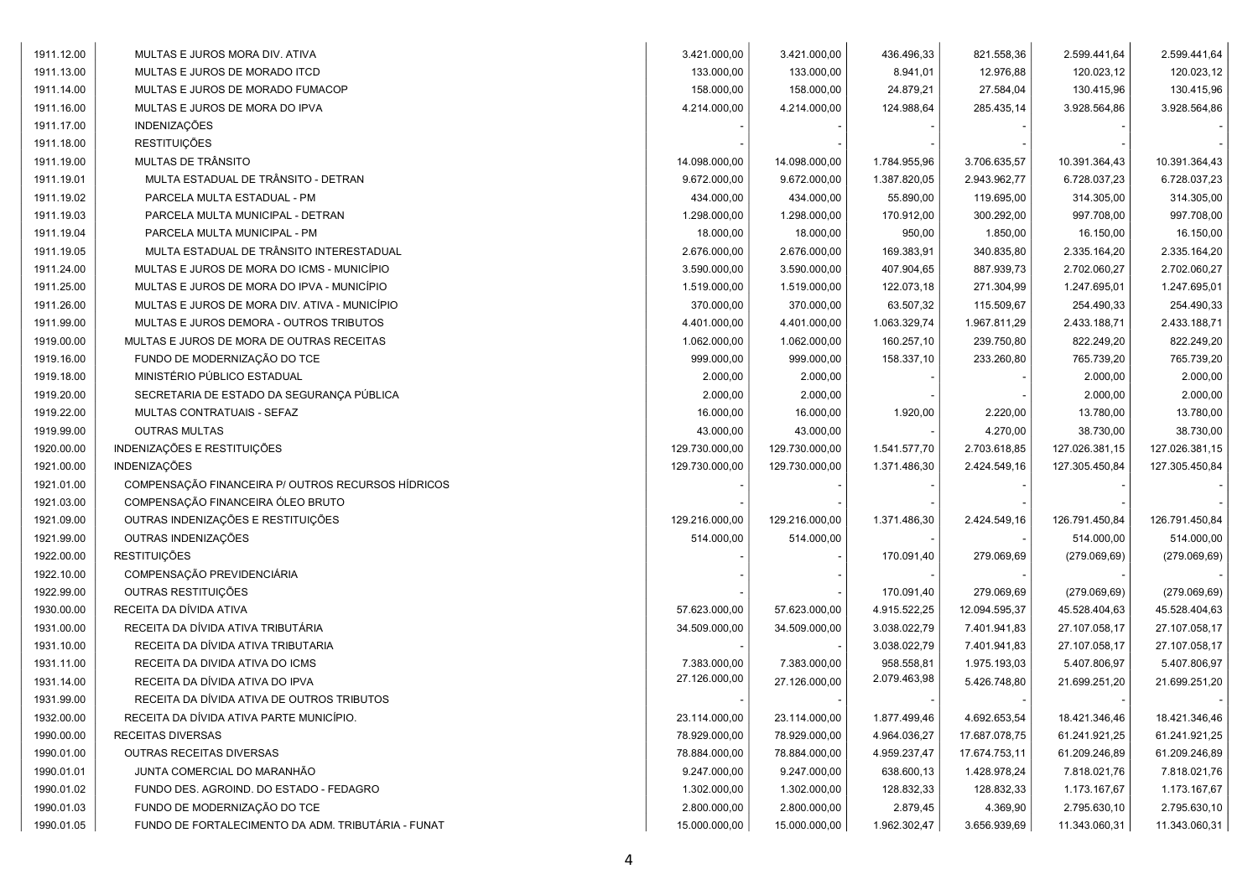| 133.000,00<br>8.941,01<br>12.976,88<br>120.023,12<br>120.023,12<br>1911.13.00<br>MULTAS E JUROS DE MORADO ITCD<br>133.000,00<br>158.000,00<br>158.000,00<br>24.879,21<br>27.584,04<br>130.415,96<br>130.415,96<br>1911.14.00<br>MULTAS E JUROS DE MORADO FUMACOP<br>285.435,14<br>1911.16.00<br>MULTAS E JUROS DE MORA DO IPVA<br>4.214.000,00<br>4.214.000,00<br>124.988,64<br>3.928.564,86<br>3.928.564,86<br><b>INDENIZAÇÕES</b><br>1911.17.00<br><b>RESTITUIÇÕES</b><br>1911.18.00<br>MULTAS DE TRÂNSITO<br>10.391.364,43<br>1911.19.00<br>14.098.000,00<br>14.098.000,00<br>1.784.955,96<br>3.706.635,57<br>10.391.364,43<br>MULTA ESTADUAL DE TRÂNSITO - DETRAN<br>9.672.000,00<br>9.672.000,00<br>1.387.820,05<br>2.943.962,77<br>1911.19.01<br>6.728.037,23<br>6.728.037,23<br>PARCELA MULTA ESTADUAL - PM<br>434.000,00<br>1911.19.02<br>434.000,00<br>55.890,00<br>119.695,00<br>314.305,00<br>314.305,00<br>1.298.000,00<br>170.912,00<br>300.292,00<br>997.708,00<br>997.708,00<br>1911.19.03<br>PARCELA MULTA MUNICIPAL - DETRAN<br>1.298.000,00<br>PARCELA MULTA MUNICIPAL - PM<br>18.000,00<br>18.000,00<br>16.150,00<br>1911.19.04<br>950,00<br>1.850,00<br>16.150,00<br>MULTA ESTADUAL DE TRÂNSITO INTERESTADUAL<br>2.676.000,00<br>340.835,80<br>2.335.164,20<br>2.335.164,20<br>1911.19.05<br>2.676.000,00<br>169.383,91<br>1911.24.00<br>MULTAS E JUROS DE MORA DO ICMS - MUNICÍPIO<br>3.590.000,00<br>3.590.000,00<br>407.904,65<br>887.939,73<br>2.702.060,27<br>2.702.060,27<br>1911.25.00<br>MULTAS E JUROS DE MORA DO IPVA - MUNICÍPIO<br>1.519.000,00<br>1.519.000,00<br>122.073,18<br>271.304,99<br>1.247.695,01<br>1.247.695,01<br>1911.26.00<br>MULTAS E JUROS DE MORA DIV. ATIVA - MUNICÍPIO<br>370.000,00<br>370.000,00<br>63.507,32<br>115.509,67<br>254.490,33<br>254.490,33<br>1911.99.00<br>MULTAS E JUROS DEMORA - OUTROS TRIBUTOS<br>4.401.000,00<br>4.401.000,00<br>1.063.329,74<br>1.967.811,29<br>2.433.188,71<br>2.433.188,71<br>1919.00.00<br>MULTAS E JUROS DE MORA DE OUTRAS RECEITAS<br>1.062.000,00<br>1.062.000,00<br>160.257,10<br>239.750,80<br>822.249,20<br>822.249,20<br>1919.16.00<br>FUNDO DE MODERNIZAÇÃO DO TCE<br>999.000,00<br>999.000,00<br>233.260,80<br>765.739,20<br>765.739,20<br>158.337,10<br>MINISTÉRIO PÚBLICO ESTADUAL<br>2.000,00<br>2.000,00<br>2.000,00<br>2.000,00<br>1919.18.00<br>1919.20.00<br>SECRETARIA DE ESTADO DA SEGURANÇA PÚBLICA<br>2.000,00<br>2.000,00<br>2.000,00<br>2.000,00<br>1919.22.00<br>MULTAS CONTRATUAIS - SEFAZ<br>16.000,00<br>16.000,00<br>1.920,00<br>2.220,00<br>13.780,00<br>13.780,00<br>1919.99.00<br><b>OUTRAS MULTAS</b><br>43.000,00<br>43.000,00<br>4.270,00<br>38.730,00<br>38.730,00<br>INDENIZAÇÕES E RESTITUIÇÕES<br>1920.00.00<br>129.730.000,00<br>129.730.000,00<br>2.703.618,85<br>127.026.381,15<br>127.026.381,15<br>1.541.577,70<br>INDENIZAÇÕES<br>1921.00.00<br>129.730.000,00<br>129.730.000,00<br>1.371.486,30<br>2.424.549,16<br>127.305.450,84<br>127.305.450,84<br>COMPENSAÇÃO FINANCEIRA P/ OUTROS RECURSOS HÍDRICOS<br>1921.01.00<br>COMPENSAÇÃO FINANCEIRA ÓLEO BRUTO<br>1921.03.00<br>OUTRAS INDENIZAÇÕES E RESTITUIÇÕES<br>1921.09.00<br>2.424.549,16<br>126.791.450,84<br>126.791.450,84<br>129.216.000,00<br>129.216.000,00<br>1.371.486,30<br>OUTRAS INDENIZAÇÕES<br>1921.99.00<br>514.000,00<br>514.000,00<br>514.000,00<br>514.000,00<br><b>RESTITUIÇÕES</b><br>1922.00.00<br>170.091,40<br>279.069,69<br>(279.069, 69)<br>(279.069, 69)<br>COMPENSAÇÃO PREVIDENCIÁRIA<br>1922.10.00<br>OUTRAS RESTITUIÇÕES<br>1922.99.00<br>170.091,40<br>279.069,69<br>(279.069, 69)<br>(279.069, 69)<br>RECEITA DA DÍVIDA ATIVA<br>1930.00.00<br>4.915.522,25<br>12.094.595,37<br>57.623.000,00<br>57.623.000,00<br>45.528.404,63<br>45.528.404,63<br>RECEITA DA DÍVIDA ATIVA TRIBUTÁRIA<br>1931.00.00<br>7.401.941,83<br>34.509.000,00<br>34.509.000,00<br>3.038.022,79<br>27.107.058,17<br>27.107.058,17<br>RECEITA DA DÍVIDA ATIVA TRIBUTARIA<br>3.038.022,79<br>7.401.941,83<br>27.107.058,17<br>27.107.058,17<br>1931.10.00<br>RECEITA DA DIVIDA ATIVA DO ICMS<br>7.383.000,00<br>958.558,81<br>1.975.193,03<br>5.407.806,97<br>5.407.806,97<br>1931.11.00<br>7.383.000,00<br>27.126.000,00<br>2.079.463,98<br>RECEITA DA DÍVIDA ATIVA DO IPVA<br>27.126.000,00<br>1931.14.00<br>5.426.748,80<br>21.699.251,20<br>21.699.251,20<br>1931.99.00<br>RECEITA DA DÍVIDA ATIVA DE OUTROS TRIBUTOS<br>1932.00.00<br>RECEITA DA DÍVIDA ATIVA PARTE MUNICÍPIO.<br>1.877.499,46<br>4.692.653,54<br>18.421.346,46<br>18.421.346,46<br>23.114.000,00<br>23.114.000,00<br>1990.00.00<br>RECEITAS DIVERSAS<br>78.929.000,00<br>78.929.000,00<br>17.687.078,75<br>61.241.921,25<br>61.241.921,25<br>4.964.036,27<br>1990.01.00<br>OUTRAS RECEITAS DIVERSAS<br>78.884.000,00<br>4.959.237,47<br>17.674.753,11<br>78.884.000,00<br>61.209.246,89<br>61.209.246,89<br>1990.01.01<br>JUNTA COMERCIAL DO MARANHÃO<br>9.247.000,00<br>9.247.000,00<br>638.600,13<br>1.428.978,24<br>7.818.021,76<br>7.818.021,76<br>1990.01.02<br>FUNDO DES. AGROIND. DO ESTADO - FEDAGRO<br>128.832,33<br>128.832,33<br>1.173.167,67<br>1.302.000,00<br>1.302.000,00<br>1.173.167,67<br>1990.01.03<br>FUNDO DE MODERNIZAÇÃO DO TCE<br>2.800.000,00<br>2.800.000,00<br>2.879,45<br>4.369,90<br>2.795.630,10<br>2.795.630,10<br>FUNDO DE FORTALECIMENTO DA ADM. TRIBUTÁRIA - FUNAT<br>3.656.939,69<br>1990.01.05<br>15.000.000,00<br>15.000.000,00<br>1.962.302,47<br>11.343.060,31<br>11.343.060,31 | 1911.12.00 | MULTAS E JUROS MORA DIV. ATIVA | 3.421.000,00 | 3.421.000,00 | 436.496,33 | 821.558,36 | 2.599.441,64 | 2.599.441,64 |
|-----------------------------------------------------------------------------------------------------------------------------------------------------------------------------------------------------------------------------------------------------------------------------------------------------------------------------------------------------------------------------------------------------------------------------------------------------------------------------------------------------------------------------------------------------------------------------------------------------------------------------------------------------------------------------------------------------------------------------------------------------------------------------------------------------------------------------------------------------------------------------------------------------------------------------------------------------------------------------------------------------------------------------------------------------------------------------------------------------------------------------------------------------------------------------------------------------------------------------------------------------------------------------------------------------------------------------------------------------------------------------------------------------------------------------------------------------------------------------------------------------------------------------------------------------------------------------------------------------------------------------------------------------------------------------------------------------------------------------------------------------------------------------------------------------------------------------------------------------------------------------------------------------------------------------------------------------------------------------------------------------------------------------------------------------------------------------------------------------------------------------------------------------------------------------------------------------------------------------------------------------------------------------------------------------------------------------------------------------------------------------------------------------------------------------------------------------------------------------------------------------------------------------------------------------------------------------------------------------------------------------------------------------------------------------------------------------------------------------------------------------------------------------------------------------------------------------------------------------------------------------------------------------------------------------------------------------------------------------------------------------------------------------------------------------------------------------------------------------------------------------------------------------------------------------------------------------------------------------------------------------------------------------------------------------------------------------------------------------------------------------------------------------------------------------------------------------------------------------------------------------------------------------------------------------------------------------------------------------------------------------------------------------------------------------------------------------------------------------------------------------------------------------------------------------------------------------------------------------------------------------------------------------------------------------------------------------------------------------------------------------------------------------------------------------------------------------------------------------------------------------------------------------------------------------------------------------------------------------------------------------------------------------------------------------------------------------------------------------------------------------------------------------------------------------------------------------------------------------------------------------------------------------------------------------------------------------------------------------------------------------------------------------------------------------------------------------------------------------------------------------------------------------------------------------------------------------------------------------------------------------------------------------------------------------------------------------------------------------------------------------------------------------------------------------------------------------------------------------------------------------------------------------------------------------------------------------------------------------------------------------------------------------------------------------------------------------------------------------------------------------------------------------------------------------------------------------------------------------------------------|------------|--------------------------------|--------------|--------------|------------|------------|--------------|--------------|
|                                                                                                                                                                                                                                                                                                                                                                                                                                                                                                                                                                                                                                                                                                                                                                                                                                                                                                                                                                                                                                                                                                                                                                                                                                                                                                                                                                                                                                                                                                                                                                                                                                                                                                                                                                                                                                                                                                                                                                                                                                                                                                                                                                                                                                                                                                                                                                                                                                                                                                                                                                                                                                                                                                                                                                                                                                                                                                                                                                                                                                                                                                                                                                                                                                                                                                                                                                                                                                                                                                                                                                                                                                                                                                                                                                                                                                                                                                                                                                                                                                                                                                                                                                                                                                                                                                                                                                                                                                                                                                                                                                                                                                                                                                                                                                                                                                                                                                                                                                                                                                                                                                                                                                                                                                                                                                                                                                                                                                                                                               |            |                                |              |              |            |            |              |              |
|                                                                                                                                                                                                                                                                                                                                                                                                                                                                                                                                                                                                                                                                                                                                                                                                                                                                                                                                                                                                                                                                                                                                                                                                                                                                                                                                                                                                                                                                                                                                                                                                                                                                                                                                                                                                                                                                                                                                                                                                                                                                                                                                                                                                                                                                                                                                                                                                                                                                                                                                                                                                                                                                                                                                                                                                                                                                                                                                                                                                                                                                                                                                                                                                                                                                                                                                                                                                                                                                                                                                                                                                                                                                                                                                                                                                                                                                                                                                                                                                                                                                                                                                                                                                                                                                                                                                                                                                                                                                                                                                                                                                                                                                                                                                                                                                                                                                                                                                                                                                                                                                                                                                                                                                                                                                                                                                                                                                                                                                                               |            |                                |              |              |            |            |              |              |
|                                                                                                                                                                                                                                                                                                                                                                                                                                                                                                                                                                                                                                                                                                                                                                                                                                                                                                                                                                                                                                                                                                                                                                                                                                                                                                                                                                                                                                                                                                                                                                                                                                                                                                                                                                                                                                                                                                                                                                                                                                                                                                                                                                                                                                                                                                                                                                                                                                                                                                                                                                                                                                                                                                                                                                                                                                                                                                                                                                                                                                                                                                                                                                                                                                                                                                                                                                                                                                                                                                                                                                                                                                                                                                                                                                                                                                                                                                                                                                                                                                                                                                                                                                                                                                                                                                                                                                                                                                                                                                                                                                                                                                                                                                                                                                                                                                                                                                                                                                                                                                                                                                                                                                                                                                                                                                                                                                                                                                                                                               |            |                                |              |              |            |            |              |              |
|                                                                                                                                                                                                                                                                                                                                                                                                                                                                                                                                                                                                                                                                                                                                                                                                                                                                                                                                                                                                                                                                                                                                                                                                                                                                                                                                                                                                                                                                                                                                                                                                                                                                                                                                                                                                                                                                                                                                                                                                                                                                                                                                                                                                                                                                                                                                                                                                                                                                                                                                                                                                                                                                                                                                                                                                                                                                                                                                                                                                                                                                                                                                                                                                                                                                                                                                                                                                                                                                                                                                                                                                                                                                                                                                                                                                                                                                                                                                                                                                                                                                                                                                                                                                                                                                                                                                                                                                                                                                                                                                                                                                                                                                                                                                                                                                                                                                                                                                                                                                                                                                                                                                                                                                                                                                                                                                                                                                                                                                                               |            |                                |              |              |            |            |              |              |
|                                                                                                                                                                                                                                                                                                                                                                                                                                                                                                                                                                                                                                                                                                                                                                                                                                                                                                                                                                                                                                                                                                                                                                                                                                                                                                                                                                                                                                                                                                                                                                                                                                                                                                                                                                                                                                                                                                                                                                                                                                                                                                                                                                                                                                                                                                                                                                                                                                                                                                                                                                                                                                                                                                                                                                                                                                                                                                                                                                                                                                                                                                                                                                                                                                                                                                                                                                                                                                                                                                                                                                                                                                                                                                                                                                                                                                                                                                                                                                                                                                                                                                                                                                                                                                                                                                                                                                                                                                                                                                                                                                                                                                                                                                                                                                                                                                                                                                                                                                                                                                                                                                                                                                                                                                                                                                                                                                                                                                                                                               |            |                                |              |              |            |            |              |              |
|                                                                                                                                                                                                                                                                                                                                                                                                                                                                                                                                                                                                                                                                                                                                                                                                                                                                                                                                                                                                                                                                                                                                                                                                                                                                                                                                                                                                                                                                                                                                                                                                                                                                                                                                                                                                                                                                                                                                                                                                                                                                                                                                                                                                                                                                                                                                                                                                                                                                                                                                                                                                                                                                                                                                                                                                                                                                                                                                                                                                                                                                                                                                                                                                                                                                                                                                                                                                                                                                                                                                                                                                                                                                                                                                                                                                                                                                                                                                                                                                                                                                                                                                                                                                                                                                                                                                                                                                                                                                                                                                                                                                                                                                                                                                                                                                                                                                                                                                                                                                                                                                                                                                                                                                                                                                                                                                                                                                                                                                                               |            |                                |              |              |            |            |              |              |
|                                                                                                                                                                                                                                                                                                                                                                                                                                                                                                                                                                                                                                                                                                                                                                                                                                                                                                                                                                                                                                                                                                                                                                                                                                                                                                                                                                                                                                                                                                                                                                                                                                                                                                                                                                                                                                                                                                                                                                                                                                                                                                                                                                                                                                                                                                                                                                                                                                                                                                                                                                                                                                                                                                                                                                                                                                                                                                                                                                                                                                                                                                                                                                                                                                                                                                                                                                                                                                                                                                                                                                                                                                                                                                                                                                                                                                                                                                                                                                                                                                                                                                                                                                                                                                                                                                                                                                                                                                                                                                                                                                                                                                                                                                                                                                                                                                                                                                                                                                                                                                                                                                                                                                                                                                                                                                                                                                                                                                                                                               |            |                                |              |              |            |            |              |              |
|                                                                                                                                                                                                                                                                                                                                                                                                                                                                                                                                                                                                                                                                                                                                                                                                                                                                                                                                                                                                                                                                                                                                                                                                                                                                                                                                                                                                                                                                                                                                                                                                                                                                                                                                                                                                                                                                                                                                                                                                                                                                                                                                                                                                                                                                                                                                                                                                                                                                                                                                                                                                                                                                                                                                                                                                                                                                                                                                                                                                                                                                                                                                                                                                                                                                                                                                                                                                                                                                                                                                                                                                                                                                                                                                                                                                                                                                                                                                                                                                                                                                                                                                                                                                                                                                                                                                                                                                                                                                                                                                                                                                                                                                                                                                                                                                                                                                                                                                                                                                                                                                                                                                                                                                                                                                                                                                                                                                                                                                                               |            |                                |              |              |            |            |              |              |
|                                                                                                                                                                                                                                                                                                                                                                                                                                                                                                                                                                                                                                                                                                                                                                                                                                                                                                                                                                                                                                                                                                                                                                                                                                                                                                                                                                                                                                                                                                                                                                                                                                                                                                                                                                                                                                                                                                                                                                                                                                                                                                                                                                                                                                                                                                                                                                                                                                                                                                                                                                                                                                                                                                                                                                                                                                                                                                                                                                                                                                                                                                                                                                                                                                                                                                                                                                                                                                                                                                                                                                                                                                                                                                                                                                                                                                                                                                                                                                                                                                                                                                                                                                                                                                                                                                                                                                                                                                                                                                                                                                                                                                                                                                                                                                                                                                                                                                                                                                                                                                                                                                                                                                                                                                                                                                                                                                                                                                                                                               |            |                                |              |              |            |            |              |              |
|                                                                                                                                                                                                                                                                                                                                                                                                                                                                                                                                                                                                                                                                                                                                                                                                                                                                                                                                                                                                                                                                                                                                                                                                                                                                                                                                                                                                                                                                                                                                                                                                                                                                                                                                                                                                                                                                                                                                                                                                                                                                                                                                                                                                                                                                                                                                                                                                                                                                                                                                                                                                                                                                                                                                                                                                                                                                                                                                                                                                                                                                                                                                                                                                                                                                                                                                                                                                                                                                                                                                                                                                                                                                                                                                                                                                                                                                                                                                                                                                                                                                                                                                                                                                                                                                                                                                                                                                                                                                                                                                                                                                                                                                                                                                                                                                                                                                                                                                                                                                                                                                                                                                                                                                                                                                                                                                                                                                                                                                                               |            |                                |              |              |            |            |              |              |
|                                                                                                                                                                                                                                                                                                                                                                                                                                                                                                                                                                                                                                                                                                                                                                                                                                                                                                                                                                                                                                                                                                                                                                                                                                                                                                                                                                                                                                                                                                                                                                                                                                                                                                                                                                                                                                                                                                                                                                                                                                                                                                                                                                                                                                                                                                                                                                                                                                                                                                                                                                                                                                                                                                                                                                                                                                                                                                                                                                                                                                                                                                                                                                                                                                                                                                                                                                                                                                                                                                                                                                                                                                                                                                                                                                                                                                                                                                                                                                                                                                                                                                                                                                                                                                                                                                                                                                                                                                                                                                                                                                                                                                                                                                                                                                                                                                                                                                                                                                                                                                                                                                                                                                                                                                                                                                                                                                                                                                                                                               |            |                                |              |              |            |            |              |              |
|                                                                                                                                                                                                                                                                                                                                                                                                                                                                                                                                                                                                                                                                                                                                                                                                                                                                                                                                                                                                                                                                                                                                                                                                                                                                                                                                                                                                                                                                                                                                                                                                                                                                                                                                                                                                                                                                                                                                                                                                                                                                                                                                                                                                                                                                                                                                                                                                                                                                                                                                                                                                                                                                                                                                                                                                                                                                                                                                                                                                                                                                                                                                                                                                                                                                                                                                                                                                                                                                                                                                                                                                                                                                                                                                                                                                                                                                                                                                                                                                                                                                                                                                                                                                                                                                                                                                                                                                                                                                                                                                                                                                                                                                                                                                                                                                                                                                                                                                                                                                                                                                                                                                                                                                                                                                                                                                                                                                                                                                                               |            |                                |              |              |            |            |              |              |
|                                                                                                                                                                                                                                                                                                                                                                                                                                                                                                                                                                                                                                                                                                                                                                                                                                                                                                                                                                                                                                                                                                                                                                                                                                                                                                                                                                                                                                                                                                                                                                                                                                                                                                                                                                                                                                                                                                                                                                                                                                                                                                                                                                                                                                                                                                                                                                                                                                                                                                                                                                                                                                                                                                                                                                                                                                                                                                                                                                                                                                                                                                                                                                                                                                                                                                                                                                                                                                                                                                                                                                                                                                                                                                                                                                                                                                                                                                                                                                                                                                                                                                                                                                                                                                                                                                                                                                                                                                                                                                                                                                                                                                                                                                                                                                                                                                                                                                                                                                                                                                                                                                                                                                                                                                                                                                                                                                                                                                                                                               |            |                                |              |              |            |            |              |              |
|                                                                                                                                                                                                                                                                                                                                                                                                                                                                                                                                                                                                                                                                                                                                                                                                                                                                                                                                                                                                                                                                                                                                                                                                                                                                                                                                                                                                                                                                                                                                                                                                                                                                                                                                                                                                                                                                                                                                                                                                                                                                                                                                                                                                                                                                                                                                                                                                                                                                                                                                                                                                                                                                                                                                                                                                                                                                                                                                                                                                                                                                                                                                                                                                                                                                                                                                                                                                                                                                                                                                                                                                                                                                                                                                                                                                                                                                                                                                                                                                                                                                                                                                                                                                                                                                                                                                                                                                                                                                                                                                                                                                                                                                                                                                                                                                                                                                                                                                                                                                                                                                                                                                                                                                                                                                                                                                                                                                                                                                                               |            |                                |              |              |            |            |              |              |
|                                                                                                                                                                                                                                                                                                                                                                                                                                                                                                                                                                                                                                                                                                                                                                                                                                                                                                                                                                                                                                                                                                                                                                                                                                                                                                                                                                                                                                                                                                                                                                                                                                                                                                                                                                                                                                                                                                                                                                                                                                                                                                                                                                                                                                                                                                                                                                                                                                                                                                                                                                                                                                                                                                                                                                                                                                                                                                                                                                                                                                                                                                                                                                                                                                                                                                                                                                                                                                                                                                                                                                                                                                                                                                                                                                                                                                                                                                                                                                                                                                                                                                                                                                                                                                                                                                                                                                                                                                                                                                                                                                                                                                                                                                                                                                                                                                                                                                                                                                                                                                                                                                                                                                                                                                                                                                                                                                                                                                                                                               |            |                                |              |              |            |            |              |              |
|                                                                                                                                                                                                                                                                                                                                                                                                                                                                                                                                                                                                                                                                                                                                                                                                                                                                                                                                                                                                                                                                                                                                                                                                                                                                                                                                                                                                                                                                                                                                                                                                                                                                                                                                                                                                                                                                                                                                                                                                                                                                                                                                                                                                                                                                                                                                                                                                                                                                                                                                                                                                                                                                                                                                                                                                                                                                                                                                                                                                                                                                                                                                                                                                                                                                                                                                                                                                                                                                                                                                                                                                                                                                                                                                                                                                                                                                                                                                                                                                                                                                                                                                                                                                                                                                                                                                                                                                                                                                                                                                                                                                                                                                                                                                                                                                                                                                                                                                                                                                                                                                                                                                                                                                                                                                                                                                                                                                                                                                                               |            |                                |              |              |            |            |              |              |
|                                                                                                                                                                                                                                                                                                                                                                                                                                                                                                                                                                                                                                                                                                                                                                                                                                                                                                                                                                                                                                                                                                                                                                                                                                                                                                                                                                                                                                                                                                                                                                                                                                                                                                                                                                                                                                                                                                                                                                                                                                                                                                                                                                                                                                                                                                                                                                                                                                                                                                                                                                                                                                                                                                                                                                                                                                                                                                                                                                                                                                                                                                                                                                                                                                                                                                                                                                                                                                                                                                                                                                                                                                                                                                                                                                                                                                                                                                                                                                                                                                                                                                                                                                                                                                                                                                                                                                                                                                                                                                                                                                                                                                                                                                                                                                                                                                                                                                                                                                                                                                                                                                                                                                                                                                                                                                                                                                                                                                                                                               |            |                                |              |              |            |            |              |              |
|                                                                                                                                                                                                                                                                                                                                                                                                                                                                                                                                                                                                                                                                                                                                                                                                                                                                                                                                                                                                                                                                                                                                                                                                                                                                                                                                                                                                                                                                                                                                                                                                                                                                                                                                                                                                                                                                                                                                                                                                                                                                                                                                                                                                                                                                                                                                                                                                                                                                                                                                                                                                                                                                                                                                                                                                                                                                                                                                                                                                                                                                                                                                                                                                                                                                                                                                                                                                                                                                                                                                                                                                                                                                                                                                                                                                                                                                                                                                                                                                                                                                                                                                                                                                                                                                                                                                                                                                                                                                                                                                                                                                                                                                                                                                                                                                                                                                                                                                                                                                                                                                                                                                                                                                                                                                                                                                                                                                                                                                                               |            |                                |              |              |            |            |              |              |
|                                                                                                                                                                                                                                                                                                                                                                                                                                                                                                                                                                                                                                                                                                                                                                                                                                                                                                                                                                                                                                                                                                                                                                                                                                                                                                                                                                                                                                                                                                                                                                                                                                                                                                                                                                                                                                                                                                                                                                                                                                                                                                                                                                                                                                                                                                                                                                                                                                                                                                                                                                                                                                                                                                                                                                                                                                                                                                                                                                                                                                                                                                                                                                                                                                                                                                                                                                                                                                                                                                                                                                                                                                                                                                                                                                                                                                                                                                                                                                                                                                                                                                                                                                                                                                                                                                                                                                                                                                                                                                                                                                                                                                                                                                                                                                                                                                                                                                                                                                                                                                                                                                                                                                                                                                                                                                                                                                                                                                                                                               |            |                                |              |              |            |            |              |              |
|                                                                                                                                                                                                                                                                                                                                                                                                                                                                                                                                                                                                                                                                                                                                                                                                                                                                                                                                                                                                                                                                                                                                                                                                                                                                                                                                                                                                                                                                                                                                                                                                                                                                                                                                                                                                                                                                                                                                                                                                                                                                                                                                                                                                                                                                                                                                                                                                                                                                                                                                                                                                                                                                                                                                                                                                                                                                                                                                                                                                                                                                                                                                                                                                                                                                                                                                                                                                                                                                                                                                                                                                                                                                                                                                                                                                                                                                                                                                                                                                                                                                                                                                                                                                                                                                                                                                                                                                                                                                                                                                                                                                                                                                                                                                                                                                                                                                                                                                                                                                                                                                                                                                                                                                                                                                                                                                                                                                                                                                                               |            |                                |              |              |            |            |              |              |
|                                                                                                                                                                                                                                                                                                                                                                                                                                                                                                                                                                                                                                                                                                                                                                                                                                                                                                                                                                                                                                                                                                                                                                                                                                                                                                                                                                                                                                                                                                                                                                                                                                                                                                                                                                                                                                                                                                                                                                                                                                                                                                                                                                                                                                                                                                                                                                                                                                                                                                                                                                                                                                                                                                                                                                                                                                                                                                                                                                                                                                                                                                                                                                                                                                                                                                                                                                                                                                                                                                                                                                                                                                                                                                                                                                                                                                                                                                                                                                                                                                                                                                                                                                                                                                                                                                                                                                                                                                                                                                                                                                                                                                                                                                                                                                                                                                                                                                                                                                                                                                                                                                                                                                                                                                                                                                                                                                                                                                                                                               |            |                                |              |              |            |            |              |              |
|                                                                                                                                                                                                                                                                                                                                                                                                                                                                                                                                                                                                                                                                                                                                                                                                                                                                                                                                                                                                                                                                                                                                                                                                                                                                                                                                                                                                                                                                                                                                                                                                                                                                                                                                                                                                                                                                                                                                                                                                                                                                                                                                                                                                                                                                                                                                                                                                                                                                                                                                                                                                                                                                                                                                                                                                                                                                                                                                                                                                                                                                                                                                                                                                                                                                                                                                                                                                                                                                                                                                                                                                                                                                                                                                                                                                                                                                                                                                                                                                                                                                                                                                                                                                                                                                                                                                                                                                                                                                                                                                                                                                                                                                                                                                                                                                                                                                                                                                                                                                                                                                                                                                                                                                                                                                                                                                                                                                                                                                                               |            |                                |              |              |            |            |              |              |
|                                                                                                                                                                                                                                                                                                                                                                                                                                                                                                                                                                                                                                                                                                                                                                                                                                                                                                                                                                                                                                                                                                                                                                                                                                                                                                                                                                                                                                                                                                                                                                                                                                                                                                                                                                                                                                                                                                                                                                                                                                                                                                                                                                                                                                                                                                                                                                                                                                                                                                                                                                                                                                                                                                                                                                                                                                                                                                                                                                                                                                                                                                                                                                                                                                                                                                                                                                                                                                                                                                                                                                                                                                                                                                                                                                                                                                                                                                                                                                                                                                                                                                                                                                                                                                                                                                                                                                                                                                                                                                                                                                                                                                                                                                                                                                                                                                                                                                                                                                                                                                                                                                                                                                                                                                                                                                                                                                                                                                                                                               |            |                                |              |              |            |            |              |              |
|                                                                                                                                                                                                                                                                                                                                                                                                                                                                                                                                                                                                                                                                                                                                                                                                                                                                                                                                                                                                                                                                                                                                                                                                                                                                                                                                                                                                                                                                                                                                                                                                                                                                                                                                                                                                                                                                                                                                                                                                                                                                                                                                                                                                                                                                                                                                                                                                                                                                                                                                                                                                                                                                                                                                                                                                                                                                                                                                                                                                                                                                                                                                                                                                                                                                                                                                                                                                                                                                                                                                                                                                                                                                                                                                                                                                                                                                                                                                                                                                                                                                                                                                                                                                                                                                                                                                                                                                                                                                                                                                                                                                                                                                                                                                                                                                                                                                                                                                                                                                                                                                                                                                                                                                                                                                                                                                                                                                                                                                                               |            |                                |              |              |            |            |              |              |
|                                                                                                                                                                                                                                                                                                                                                                                                                                                                                                                                                                                                                                                                                                                                                                                                                                                                                                                                                                                                                                                                                                                                                                                                                                                                                                                                                                                                                                                                                                                                                                                                                                                                                                                                                                                                                                                                                                                                                                                                                                                                                                                                                                                                                                                                                                                                                                                                                                                                                                                                                                                                                                                                                                                                                                                                                                                                                                                                                                                                                                                                                                                                                                                                                                                                                                                                                                                                                                                                                                                                                                                                                                                                                                                                                                                                                                                                                                                                                                                                                                                                                                                                                                                                                                                                                                                                                                                                                                                                                                                                                                                                                                                                                                                                                                                                                                                                                                                                                                                                                                                                                                                                                                                                                                                                                                                                                                                                                                                                                               |            |                                |              |              |            |            |              |              |
|                                                                                                                                                                                                                                                                                                                                                                                                                                                                                                                                                                                                                                                                                                                                                                                                                                                                                                                                                                                                                                                                                                                                                                                                                                                                                                                                                                                                                                                                                                                                                                                                                                                                                                                                                                                                                                                                                                                                                                                                                                                                                                                                                                                                                                                                                                                                                                                                                                                                                                                                                                                                                                                                                                                                                                                                                                                                                                                                                                                                                                                                                                                                                                                                                                                                                                                                                                                                                                                                                                                                                                                                                                                                                                                                                                                                                                                                                                                                                                                                                                                                                                                                                                                                                                                                                                                                                                                                                                                                                                                                                                                                                                                                                                                                                                                                                                                                                                                                                                                                                                                                                                                                                                                                                                                                                                                                                                                                                                                                                               |            |                                |              |              |            |            |              |              |
|                                                                                                                                                                                                                                                                                                                                                                                                                                                                                                                                                                                                                                                                                                                                                                                                                                                                                                                                                                                                                                                                                                                                                                                                                                                                                                                                                                                                                                                                                                                                                                                                                                                                                                                                                                                                                                                                                                                                                                                                                                                                                                                                                                                                                                                                                                                                                                                                                                                                                                                                                                                                                                                                                                                                                                                                                                                                                                                                                                                                                                                                                                                                                                                                                                                                                                                                                                                                                                                                                                                                                                                                                                                                                                                                                                                                                                                                                                                                                                                                                                                                                                                                                                                                                                                                                                                                                                                                                                                                                                                                                                                                                                                                                                                                                                                                                                                                                                                                                                                                                                                                                                                                                                                                                                                                                                                                                                                                                                                                                               |            |                                |              |              |            |            |              |              |
|                                                                                                                                                                                                                                                                                                                                                                                                                                                                                                                                                                                                                                                                                                                                                                                                                                                                                                                                                                                                                                                                                                                                                                                                                                                                                                                                                                                                                                                                                                                                                                                                                                                                                                                                                                                                                                                                                                                                                                                                                                                                                                                                                                                                                                                                                                                                                                                                                                                                                                                                                                                                                                                                                                                                                                                                                                                                                                                                                                                                                                                                                                                                                                                                                                                                                                                                                                                                                                                                                                                                                                                                                                                                                                                                                                                                                                                                                                                                                                                                                                                                                                                                                                                                                                                                                                                                                                                                                                                                                                                                                                                                                                                                                                                                                                                                                                                                                                                                                                                                                                                                                                                                                                                                                                                                                                                                                                                                                                                                                               |            |                                |              |              |            |            |              |              |
|                                                                                                                                                                                                                                                                                                                                                                                                                                                                                                                                                                                                                                                                                                                                                                                                                                                                                                                                                                                                                                                                                                                                                                                                                                                                                                                                                                                                                                                                                                                                                                                                                                                                                                                                                                                                                                                                                                                                                                                                                                                                                                                                                                                                                                                                                                                                                                                                                                                                                                                                                                                                                                                                                                                                                                                                                                                                                                                                                                                                                                                                                                                                                                                                                                                                                                                                                                                                                                                                                                                                                                                                                                                                                                                                                                                                                                                                                                                                                                                                                                                                                                                                                                                                                                                                                                                                                                                                                                                                                                                                                                                                                                                                                                                                                                                                                                                                                                                                                                                                                                                                                                                                                                                                                                                                                                                                                                                                                                                                                               |            |                                |              |              |            |            |              |              |
|                                                                                                                                                                                                                                                                                                                                                                                                                                                                                                                                                                                                                                                                                                                                                                                                                                                                                                                                                                                                                                                                                                                                                                                                                                                                                                                                                                                                                                                                                                                                                                                                                                                                                                                                                                                                                                                                                                                                                                                                                                                                                                                                                                                                                                                                                                                                                                                                                                                                                                                                                                                                                                                                                                                                                                                                                                                                                                                                                                                                                                                                                                                                                                                                                                                                                                                                                                                                                                                                                                                                                                                                                                                                                                                                                                                                                                                                                                                                                                                                                                                                                                                                                                                                                                                                                                                                                                                                                                                                                                                                                                                                                                                                                                                                                                                                                                                                                                                                                                                                                                                                                                                                                                                                                                                                                                                                                                                                                                                                                               |            |                                |              |              |            |            |              |              |
|                                                                                                                                                                                                                                                                                                                                                                                                                                                                                                                                                                                                                                                                                                                                                                                                                                                                                                                                                                                                                                                                                                                                                                                                                                                                                                                                                                                                                                                                                                                                                                                                                                                                                                                                                                                                                                                                                                                                                                                                                                                                                                                                                                                                                                                                                                                                                                                                                                                                                                                                                                                                                                                                                                                                                                                                                                                                                                                                                                                                                                                                                                                                                                                                                                                                                                                                                                                                                                                                                                                                                                                                                                                                                                                                                                                                                                                                                                                                                                                                                                                                                                                                                                                                                                                                                                                                                                                                                                                                                                                                                                                                                                                                                                                                                                                                                                                                                                                                                                                                                                                                                                                                                                                                                                                                                                                                                                                                                                                                                               |            |                                |              |              |            |            |              |              |
|                                                                                                                                                                                                                                                                                                                                                                                                                                                                                                                                                                                                                                                                                                                                                                                                                                                                                                                                                                                                                                                                                                                                                                                                                                                                                                                                                                                                                                                                                                                                                                                                                                                                                                                                                                                                                                                                                                                                                                                                                                                                                                                                                                                                                                                                                                                                                                                                                                                                                                                                                                                                                                                                                                                                                                                                                                                                                                                                                                                                                                                                                                                                                                                                                                                                                                                                                                                                                                                                                                                                                                                                                                                                                                                                                                                                                                                                                                                                                                                                                                                                                                                                                                                                                                                                                                                                                                                                                                                                                                                                                                                                                                                                                                                                                                                                                                                                                                                                                                                                                                                                                                                                                                                                                                                                                                                                                                                                                                                                                               |            |                                |              |              |            |            |              |              |
|                                                                                                                                                                                                                                                                                                                                                                                                                                                                                                                                                                                                                                                                                                                                                                                                                                                                                                                                                                                                                                                                                                                                                                                                                                                                                                                                                                                                                                                                                                                                                                                                                                                                                                                                                                                                                                                                                                                                                                                                                                                                                                                                                                                                                                                                                                                                                                                                                                                                                                                                                                                                                                                                                                                                                                                                                                                                                                                                                                                                                                                                                                                                                                                                                                                                                                                                                                                                                                                                                                                                                                                                                                                                                                                                                                                                                                                                                                                                                                                                                                                                                                                                                                                                                                                                                                                                                                                                                                                                                                                                                                                                                                                                                                                                                                                                                                                                                                                                                                                                                                                                                                                                                                                                                                                                                                                                                                                                                                                                                               |            |                                |              |              |            |            |              |              |
|                                                                                                                                                                                                                                                                                                                                                                                                                                                                                                                                                                                                                                                                                                                                                                                                                                                                                                                                                                                                                                                                                                                                                                                                                                                                                                                                                                                                                                                                                                                                                                                                                                                                                                                                                                                                                                                                                                                                                                                                                                                                                                                                                                                                                                                                                                                                                                                                                                                                                                                                                                                                                                                                                                                                                                                                                                                                                                                                                                                                                                                                                                                                                                                                                                                                                                                                                                                                                                                                                                                                                                                                                                                                                                                                                                                                                                                                                                                                                                                                                                                                                                                                                                                                                                                                                                                                                                                                                                                                                                                                                                                                                                                                                                                                                                                                                                                                                                                                                                                                                                                                                                                                                                                                                                                                                                                                                                                                                                                                                               |            |                                |              |              |            |            |              |              |
|                                                                                                                                                                                                                                                                                                                                                                                                                                                                                                                                                                                                                                                                                                                                                                                                                                                                                                                                                                                                                                                                                                                                                                                                                                                                                                                                                                                                                                                                                                                                                                                                                                                                                                                                                                                                                                                                                                                                                                                                                                                                                                                                                                                                                                                                                                                                                                                                                                                                                                                                                                                                                                                                                                                                                                                                                                                                                                                                                                                                                                                                                                                                                                                                                                                                                                                                                                                                                                                                                                                                                                                                                                                                                                                                                                                                                                                                                                                                                                                                                                                                                                                                                                                                                                                                                                                                                                                                                                                                                                                                                                                                                                                                                                                                                                                                                                                                                                                                                                                                                                                                                                                                                                                                                                                                                                                                                                                                                                                                                               |            |                                |              |              |            |            |              |              |
|                                                                                                                                                                                                                                                                                                                                                                                                                                                                                                                                                                                                                                                                                                                                                                                                                                                                                                                                                                                                                                                                                                                                                                                                                                                                                                                                                                                                                                                                                                                                                                                                                                                                                                                                                                                                                                                                                                                                                                                                                                                                                                                                                                                                                                                                                                                                                                                                                                                                                                                                                                                                                                                                                                                                                                                                                                                                                                                                                                                                                                                                                                                                                                                                                                                                                                                                                                                                                                                                                                                                                                                                                                                                                                                                                                                                                                                                                                                                                                                                                                                                                                                                                                                                                                                                                                                                                                                                                                                                                                                                                                                                                                                                                                                                                                                                                                                                                                                                                                                                                                                                                                                                                                                                                                                                                                                                                                                                                                                                                               |            |                                |              |              |            |            |              |              |
|                                                                                                                                                                                                                                                                                                                                                                                                                                                                                                                                                                                                                                                                                                                                                                                                                                                                                                                                                                                                                                                                                                                                                                                                                                                                                                                                                                                                                                                                                                                                                                                                                                                                                                                                                                                                                                                                                                                                                                                                                                                                                                                                                                                                                                                                                                                                                                                                                                                                                                                                                                                                                                                                                                                                                                                                                                                                                                                                                                                                                                                                                                                                                                                                                                                                                                                                                                                                                                                                                                                                                                                                                                                                                                                                                                                                                                                                                                                                                                                                                                                                                                                                                                                                                                                                                                                                                                                                                                                                                                                                                                                                                                                                                                                                                                                                                                                                                                                                                                                                                                                                                                                                                                                                                                                                                                                                                                                                                                                                                               |            |                                |              |              |            |            |              |              |
|                                                                                                                                                                                                                                                                                                                                                                                                                                                                                                                                                                                                                                                                                                                                                                                                                                                                                                                                                                                                                                                                                                                                                                                                                                                                                                                                                                                                                                                                                                                                                                                                                                                                                                                                                                                                                                                                                                                                                                                                                                                                                                                                                                                                                                                                                                                                                                                                                                                                                                                                                                                                                                                                                                                                                                                                                                                                                                                                                                                                                                                                                                                                                                                                                                                                                                                                                                                                                                                                                                                                                                                                                                                                                                                                                                                                                                                                                                                                                                                                                                                                                                                                                                                                                                                                                                                                                                                                                                                                                                                                                                                                                                                                                                                                                                                                                                                                                                                                                                                                                                                                                                                                                                                                                                                                                                                                                                                                                                                                                               |            |                                |              |              |            |            |              |              |
|                                                                                                                                                                                                                                                                                                                                                                                                                                                                                                                                                                                                                                                                                                                                                                                                                                                                                                                                                                                                                                                                                                                                                                                                                                                                                                                                                                                                                                                                                                                                                                                                                                                                                                                                                                                                                                                                                                                                                                                                                                                                                                                                                                                                                                                                                                                                                                                                                                                                                                                                                                                                                                                                                                                                                                                                                                                                                                                                                                                                                                                                                                                                                                                                                                                                                                                                                                                                                                                                                                                                                                                                                                                                                                                                                                                                                                                                                                                                                                                                                                                                                                                                                                                                                                                                                                                                                                                                                                                                                                                                                                                                                                                                                                                                                                                                                                                                                                                                                                                                                                                                                                                                                                                                                                                                                                                                                                                                                                                                                               |            |                                |              |              |            |            |              |              |
|                                                                                                                                                                                                                                                                                                                                                                                                                                                                                                                                                                                                                                                                                                                                                                                                                                                                                                                                                                                                                                                                                                                                                                                                                                                                                                                                                                                                                                                                                                                                                                                                                                                                                                                                                                                                                                                                                                                                                                                                                                                                                                                                                                                                                                                                                                                                                                                                                                                                                                                                                                                                                                                                                                                                                                                                                                                                                                                                                                                                                                                                                                                                                                                                                                                                                                                                                                                                                                                                                                                                                                                                                                                                                                                                                                                                                                                                                                                                                                                                                                                                                                                                                                                                                                                                                                                                                                                                                                                                                                                                                                                                                                                                                                                                                                                                                                                                                                                                                                                                                                                                                                                                                                                                                                                                                                                                                                                                                                                                                               |            |                                |              |              |            |            |              |              |
|                                                                                                                                                                                                                                                                                                                                                                                                                                                                                                                                                                                                                                                                                                                                                                                                                                                                                                                                                                                                                                                                                                                                                                                                                                                                                                                                                                                                                                                                                                                                                                                                                                                                                                                                                                                                                                                                                                                                                                                                                                                                                                                                                                                                                                                                                                                                                                                                                                                                                                                                                                                                                                                                                                                                                                                                                                                                                                                                                                                                                                                                                                                                                                                                                                                                                                                                                                                                                                                                                                                                                                                                                                                                                                                                                                                                                                                                                                                                                                                                                                                                                                                                                                                                                                                                                                                                                                                                                                                                                                                                                                                                                                                                                                                                                                                                                                                                                                                                                                                                                                                                                                                                                                                                                                                                                                                                                                                                                                                                                               |            |                                |              |              |            |            |              |              |
|                                                                                                                                                                                                                                                                                                                                                                                                                                                                                                                                                                                                                                                                                                                                                                                                                                                                                                                                                                                                                                                                                                                                                                                                                                                                                                                                                                                                                                                                                                                                                                                                                                                                                                                                                                                                                                                                                                                                                                                                                                                                                                                                                                                                                                                                                                                                                                                                                                                                                                                                                                                                                                                                                                                                                                                                                                                                                                                                                                                                                                                                                                                                                                                                                                                                                                                                                                                                                                                                                                                                                                                                                                                                                                                                                                                                                                                                                                                                                                                                                                                                                                                                                                                                                                                                                                                                                                                                                                                                                                                                                                                                                                                                                                                                                                                                                                                                                                                                                                                                                                                                                                                                                                                                                                                                                                                                                                                                                                                                                               |            |                                |              |              |            |            |              |              |
|                                                                                                                                                                                                                                                                                                                                                                                                                                                                                                                                                                                                                                                                                                                                                                                                                                                                                                                                                                                                                                                                                                                                                                                                                                                                                                                                                                                                                                                                                                                                                                                                                                                                                                                                                                                                                                                                                                                                                                                                                                                                                                                                                                                                                                                                                                                                                                                                                                                                                                                                                                                                                                                                                                                                                                                                                                                                                                                                                                                                                                                                                                                                                                                                                                                                                                                                                                                                                                                                                                                                                                                                                                                                                                                                                                                                                                                                                                                                                                                                                                                                                                                                                                                                                                                                                                                                                                                                                                                                                                                                                                                                                                                                                                                                                                                                                                                                                                                                                                                                                                                                                                                                                                                                                                                                                                                                                                                                                                                                                               |            |                                |              |              |            |            |              |              |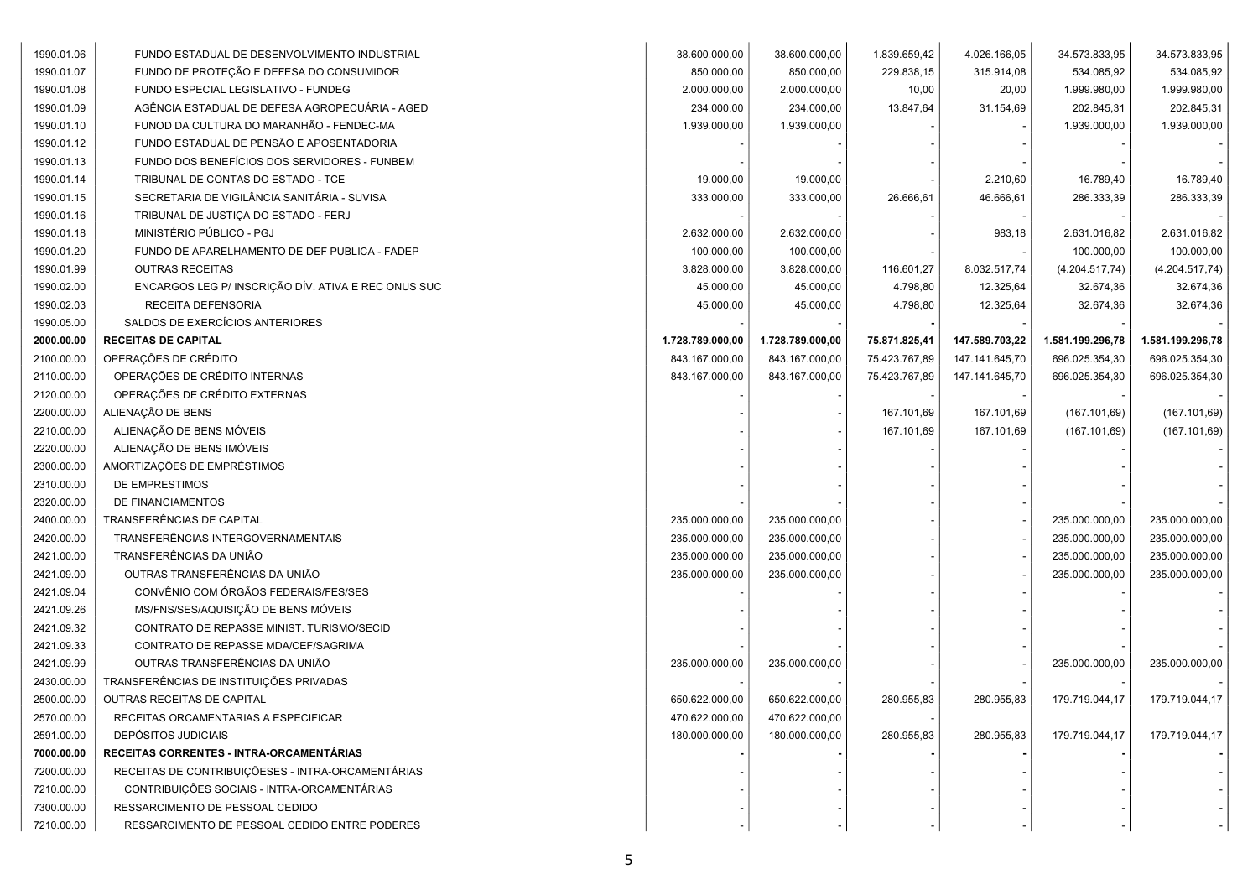| 1990.01.06 | FUNDO ESTADUAL DE DESENVOLVIMENTO INDUSTRIAL        | 38.600.000,00    | 38.600.000,00    | 1.839.659,42  | 4.026.166,05   | 34.573.833,95    | 34.573.833,95    |
|------------|-----------------------------------------------------|------------------|------------------|---------------|----------------|------------------|------------------|
| 1990.01.07 | FUNDO DE PROTEÇÃO E DEFESA DO CONSUMIDOR            | 850.000,00       | 850.000,00       | 229.838,15    | 315.914,08     | 534.085,92       | 534.085,92       |
| 1990.01.08 | FUNDO ESPECIAL LEGISLATIVO - FUNDEG                 | 2.000.000,00     | 2.000.000,00     | 10,00         | 20,00          | 1.999.980,00     | 1.999.980,00     |
| 1990.01.09 | AGÊNCIA ESTADUAL DE DEFESA AGROPECUÁRIA - AGED      | 234.000,00       | 234.000,00       | 13.847,64     | 31.154,69      | 202.845,31       | 202.845,31       |
| 1990.01.10 | FUNOD DA CULTURA DO MARANHÃO - FENDEC-MA            | 1.939.000,00     | 1.939.000,00     |               |                | 1.939.000,00     | 1.939.000,00     |
| 1990.01.12 | FUNDO ESTADUAL DE PENSÃO E APOSENTADORIA            |                  |                  |               |                |                  |                  |
| 1990.01.13 | FUNDO DOS BENEFÍCIOS DOS SERVIDORES - FUNBEM        |                  |                  |               |                |                  |                  |
| 1990.01.14 | TRIBUNAL DE CONTAS DO ESTADO - TCE                  | 19.000,00        | 19.000,00        |               | 2.210,60       | 16.789,40        | 16.789,40        |
| 1990.01.15 | SECRETARIA DE VIGILÂNCIA SANITÁRIA - SUVISA         | 333.000,00       | 333.000,00       | 26.666,61     | 46.666,61      | 286.333,39       | 286.333,39       |
| 1990.01.16 | TRIBUNAL DE JUSTIÇA DO ESTADO - FERJ                |                  |                  |               |                |                  |                  |
| 1990.01.18 | MINISTÉRIO PÚBLICO - PGJ                            | 2.632.000,00     | 2.632.000,00     |               | 983,18         | 2.631.016,82     | 2.631.016,82     |
| 1990.01.20 | FUNDO DE APARELHAMENTO DE DEF PUBLICA - FADEP       | 100.000,00       | 100.000,00       |               |                | 100.000,00       | 100.000,00       |
| 1990.01.99 | <b>OUTRAS RECEITAS</b>                              | 3.828.000,00     | 3.828.000,00     | 116.601,27    | 8.032.517,74   | (4.204.517,74)   | (4.204.517,74)   |
| 1990.02.00 | ENCARGOS LEG P/ INSCRIÇÃO DÍV. ATIVA E REC ONUS SUC | 45.000,00        | 45.000,00        | 4.798,80      | 12.325,64      | 32.674,36        | 32.674,36        |
| 1990.02.03 | RECEITA DEFENSORIA                                  | 45.000,00        | 45.000,00        | 4.798,80      | 12.325,64      | 32.674,36        | 32.674,36        |
| 1990.05.00 | SALDOS DE EXERCÍCIOS ANTERIORES                     |                  |                  |               |                |                  |                  |
| 2000.00.00 | <b>RECEITAS DE CAPITAL</b>                          | 1.728.789.000,00 | 1.728.789.000,00 | 75.871.825,41 | 147.589.703,22 | 1.581.199.296,78 | 1.581.199.296,78 |
| 2100.00.00 | OPERAÇÕES DE CRÉDITO                                | 843.167.000,00   | 843.167.000,00   | 75.423.767,89 | 147.141.645,70 | 696.025.354,30   | 696.025.354,30   |
| 2110.00.00 | OPERAÇÕES DE CRÉDITO INTERNAS                       | 843.167.000,00   | 843.167.000,00   | 75.423.767,89 | 147.141.645,70 | 696.025.354,30   | 696.025.354,30   |
| 2120.00.00 | OPERAÇÕES DE CRÉDITO EXTERNAS                       |                  |                  |               |                |                  |                  |
| 2200.00.00 | ALIENAÇÃO DE BENS                                   |                  |                  | 167.101,69    | 167.101,69     | (167.101,69)     | (167.101,69)     |
| 2210.00.00 | ALIENAÇÃO DE BENS MÓVEIS                            |                  |                  | 167.101,69    | 167.101,69     | (167.101,69)     | (167.101, 69)    |
| 2220.00.00 | ALIENAÇÃO DE BENS IMÓVEIS                           |                  |                  |               |                |                  |                  |
| 2300.00.00 | AMORTIZAÇÕES DE EMPRÉSTIMOS                         |                  |                  |               |                |                  |                  |
| 2310.00.00 | DE EMPRESTIMOS                                      |                  |                  |               |                |                  |                  |
| 2320.00.00 | DE FINANCIAMENTOS                                   |                  |                  |               |                |                  |                  |
| 2400.00.00 | TRANSFERÊNCIAS DE CAPITAL                           | 235.000.000,00   | 235.000.000,00   |               |                | 235.000.000,00   | 235.000.000,00   |
| 2420.00.00 | TRANSFERÊNCIAS INTERGOVERNAMENTAIS                  | 235.000.000,00   | 235.000.000,00   |               |                | 235.000.000,00   | 235.000.000,00   |
| 2421.00.00 | TRANSFERÊNCIAS DA UNIÃO                             | 235.000.000,00   | 235.000.000,00   |               |                | 235.000.000,00   | 235.000.000,00   |
| 2421.09.00 | OUTRAS TRANSFERÊNCIAS DA UNIÃO                      | 235.000.000,00   | 235.000.000,00   |               |                | 235.000.000,00   | 235.000.000,00   |
| 2421.09.04 | CONVÊNIO COM ÓRGÃOS FEDERAIS/FES/SES                |                  |                  |               |                |                  |                  |
| 2421.09.26 | MS/FNS/SES/AQUISIÇÃO DE BENS MÓVEIS                 |                  |                  |               |                |                  |                  |
| 2421.09.32 | CONTRATO DE REPASSE MINIST. TURISMO/SECID           |                  |                  |               |                |                  |                  |
| 2421.09.33 | CONTRATO DE REPASSE MDA/CEF/SAGRIMA                 |                  |                  |               |                |                  |                  |
| 2421.09.99 | OUTRAS TRANSFERÊNCIAS DA UNIÃO                      | 235.000.000,00   | 235.000.000,00   |               |                | 235.000.000,00   | 235.000.000,00   |
| 2430.00.00 | TRANSFERÊNCIAS DE INSTITUIÇÕES PRIVADAS             |                  |                  |               |                |                  |                  |
| 2500.00.00 | OUTRAS RECEITAS DE CAPITAL                          | 650.622.000,00   | 650.622.000,00   | 280.955,83    | 280.955,83     | 179.719.044,17   | 179.719.044,17   |
| 2570.00.00 | RECEITAS ORCAMENTARIAS A ESPECIFICAR                | 470.622.000,00   | 470.622.000,00   |               |                |                  |                  |
| 2591.00.00 | DEPÓSITOS JUDICIAIS                                 | 180.000.000,00   | 180.000.000,00   | 280.955,83    | 280.955,83     | 179.719.044,17   | 179.719.044,17   |
| 7000.00.00 | RECEITAS CORRENTES - INTRA-ORCAMENTÁRIAS            |                  |                  |               |                |                  |                  |
| 7200.00.00 | RECEITAS DE CONTRIBUIÇÕESES - INTRA-ORCAMENTÁRIAS   |                  |                  |               |                |                  |                  |
| 7210.00.00 | CONTRIBUIÇÕES SOCIAIS - INTRA-ORCAMENTÁRIAS         |                  |                  |               |                |                  |                  |
| 7300.00.00 | RESSARCIMENTO DE PESSOAL CEDIDO                     |                  |                  |               |                |                  |                  |
| 7210.00.00 | RESSARCIMENTO DE PESSOAL CEDIDO ENTRE PODERES       |                  |                  |               |                |                  |                  |
|            |                                                     |                  |                  |               |                |                  |                  |